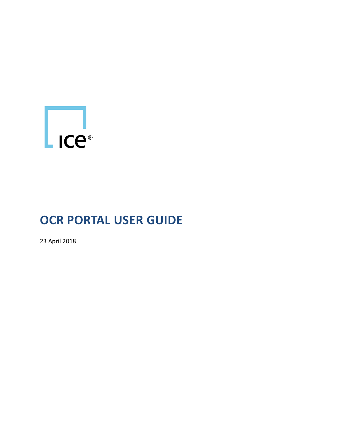# $\Gamma$

# **OCR PORTAL USER GUIDE**

23 April 2018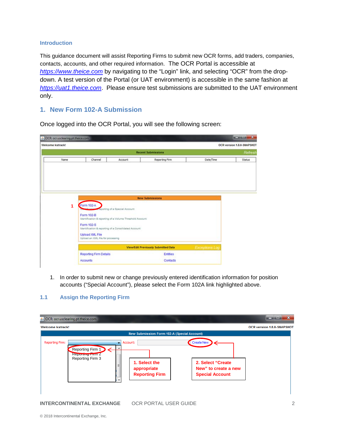#### **Introduction**

This guidance document will assist Reporting Firms to submit new OCR forms, add traders, companies, contacts, accounts, and other required information. The OCR Portal is accessible at *[https://www.theice.com](https://www.theice.com/)* by navigating to the "Login" link, and selecting "OCR" from the dropdown. A test version of the Portal (or UAT environment) is accessible in the same fashion at *[https://uat1.theice.com](https://uat1.theice.com/)*. Please ensure test submissions are submitted to the UAT environment only.

## **1. New Form 102-A Submission**

| Welcome kstrack! |                                                                     |                                                          |                           |                       | OCR version 1.8.0-SNAPSHOT |
|------------------|---------------------------------------------------------------------|----------------------------------------------------------|---------------------------|-----------------------|----------------------------|
|                  |                                                                     |                                                          | <b>Recent Submissions</b> |                       | Refresh                    |
| Name             | Channel                                                             | Account                                                  | Reporting Firm            | Date/Time             | Status                     |
|                  |                                                                     |                                                          |                           |                       |                            |
|                  |                                                                     |                                                          |                           |                       |                            |
|                  |                                                                     |                                                          |                           |                       |                            |
|                  |                                                                     |                                                          | <b>New Submissions</b>    |                       |                            |
|                  | Form 102-A                                                          |                                                          |                           |                       |                            |
| 1                |                                                                     | reporting of a Special Account.                          |                           |                       |                            |
|                  | Form 102-B                                                          | Identification & reporting of a Volume Threshold Account |                           |                       |                            |
|                  | Form 102-S<br>Identification & reporting of a Consolidated Account. |                                                          |                           |                       |                            |
|                  | Upload XML File                                                     |                                                          |                           |                       |                            |
|                  | Upload an XML file for processing                                   |                                                          |                           |                       |                            |
|                  |                                                                     |                                                          |                           | <b>Exceptions Log</b> |                            |
|                  |                                                                     | <b>View/Edit Previously Submitted Data</b>               |                           |                       |                            |
|                  | <b>Reporting Firm Details</b>                                       |                                                          | <b>Entities</b>           |                       |                            |

Once logged into the OCR Portal, you will see the following screen:

1. In order to submit new or change previously entered identification information for position accounts ("Special Account"), please select the Form 102A link highlighted above.

# **1.1 Assign the Reporting Firm**

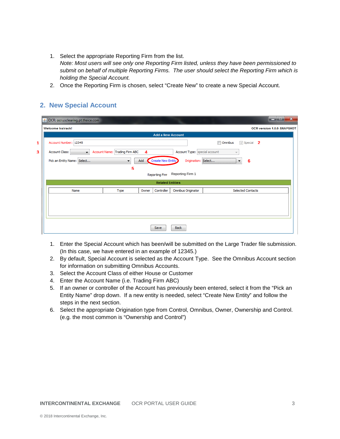- 1. Select the appropriate Reporting Firm from the list. *Note: Most users will see only one Reporting Firm listed, unless they have been permissioned to submit on behalf of multiple Reporting Firms. The user should select the Reporting Firm which is holding the Special Account.*
- 2. Once the Reporting Firm is chosen, select "Create New" to create a new Special Account.

# **2. New Special Account**

|   | $\frac{d}{dx}$ OCR: ocr.usclearing.pt.theice.com                                                                                                        | أدكراهم<br>$\mathbf{x}$    |
|---|---------------------------------------------------------------------------------------------------------------------------------------------------------|----------------------------|
|   | Welcome kstrack!                                                                                                                                        | OCR version 1.8.0-SNAPSHOT |
|   | <b>Add a New Account</b>                                                                                                                                |                            |
| 1 | Account Number: 12345<br>Omnibus<br>$\sqrt{ }$ Special 2                                                                                                |                            |
| 3 | Account Name: Trading Firm ABC<br>Account Type:   special account<br><b>Account Class:</b><br>$\boldsymbol{4}$<br>$\cdot$<br>$\mathcal{R}^{\text{int}}$ |                            |
|   | <b>Create New Entity</b><br>Add<br>Pick an Entity Name: Select<br>Origination: Select<br>$\cdot$<br>6<br>$\overline{\phantom{a}}$                       |                            |
|   | 5                                                                                                                                                       |                            |
|   | Reporting Firm 1<br><b>Reporting Firm</b>                                                                                                               |                            |
|   | <b>Related Entities</b>                                                                                                                                 |                            |
|   | Controller<br>Omnibus Originator<br><b>Selected Contacts</b><br>Name<br>Type<br>Owner                                                                   |                            |
|   |                                                                                                                                                         |                            |
|   |                                                                                                                                                         |                            |
|   |                                                                                                                                                         |                            |
|   |                                                                                                                                                         |                            |
|   | <b>Back</b><br>Save                                                                                                                                     |                            |

- 1. Enter the Special Account which has been/will be submitted on the Large Trader file submission. (In this case, we have entered in an example of 12345.)
- 2. By default, Special Account is selected as the Account Type. See the Omnibus Account section for information on submitting Omnibus Accounts.
- 3. Select the Account Class of either House or Customer
- 4. Enter the Account Name (i.e. Trading Firm ABC)
- 5. If an owner or controller of the Account has previously been entered, select it from the "Pick an Entity Name" drop down. If a new entity is needed, select "Create New Entity" and follow the steps in the next section.
- 6. Select the appropriate Origination type from Control, Omnibus, Owner, Ownership and Control. (e.g. the most common is "Ownership and Control")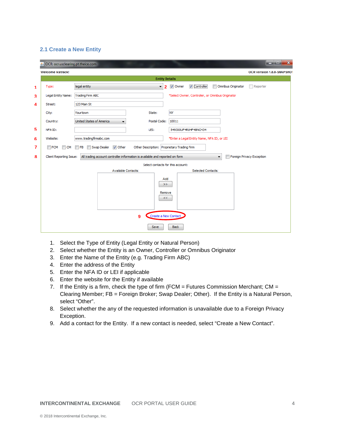#### **2.1 Create a New Entity**

|   | OCR: ocr.usclearing.pt.theice.com<br>₹ | $\mathbf{x}$<br>والمراسب                                                                                                                                |  |  |  |  |  |
|---|----------------------------------------|---------------------------------------------------------------------------------------------------------------------------------------------------------|--|--|--|--|--|
|   | <b>Welcome kstrack!</b>                | OCR version 1.8.0-SNAPSHOT                                                                                                                              |  |  |  |  |  |
|   |                                        | <b>Entity Details</b>                                                                                                                                   |  |  |  |  |  |
| 1 | Type:                                  | <b>V</b> Controller<br>legal entity<br>V Owner<br>Omnibus Originator<br>۰<br>Reporter<br>$\overline{2}$                                                 |  |  |  |  |  |
| 3 | Legal Entity Name:                     | *Select Owner, Controller, or Omnibus Originator<br><b>Trading Firm ABC</b>                                                                             |  |  |  |  |  |
| 4 | Street:                                | 123 Main St                                                                                                                                             |  |  |  |  |  |
|   | City:                                  | <b>NY</b><br>State:<br>Yourtown                                                                                                                         |  |  |  |  |  |
|   | Country:                               | United States of America<br>10011<br>Postal Code:                                                                                                       |  |  |  |  |  |
| 5 | NFA ID:                                | LEIS<br>549300UF4R84F48NCH34                                                                                                                            |  |  |  |  |  |
| 6 | Website:                               | www.tradingfirmabc.com<br>*Enter a Legal Entity Name, NFA ID, or LEI                                                                                    |  |  |  |  |  |
| 7 | $\Box$ FCM<br>$\Box$ CM                | $\triangledown$ Other<br>Other Description: Proprietary Trading Firm<br>Swap Dealer<br>$\Box$ FB                                                        |  |  |  |  |  |
| 8 | Client Reporting Issue:                | All trading account controller information is available and reported on form<br>$\blacksquare$<br>Foreign Privacy Exception<br>$\overline{\phantom{a}}$ |  |  |  |  |  |
|   |                                        | Select contacts for this account:                                                                                                                       |  |  |  |  |  |
|   |                                        | <b>Available Contacts:</b><br>Selected Contacts:                                                                                                        |  |  |  |  |  |
|   |                                        | Add                                                                                                                                                     |  |  |  |  |  |
|   |                                        | >>                                                                                                                                                      |  |  |  |  |  |
|   | Remove                                 |                                                                                                                                                         |  |  |  |  |  |
|   |                                        | <<                                                                                                                                                      |  |  |  |  |  |
|   |                                        |                                                                                                                                                         |  |  |  |  |  |
|   |                                        | Create a New Contact<br>g                                                                                                                               |  |  |  |  |  |
|   |                                        | <b>Back</b><br>Save                                                                                                                                     |  |  |  |  |  |

- 1. Select the Type of Entity (Legal Entity or Natural Person)
- 2. Select whether the Entity is an Owner, Controller or Omnibus Originator
- 3. Enter the Name of the Entity (e.g. Trading Firm ABC)
- 4. Enter the address of the Entity
- 5. Enter the NFA ID or LEI if applicable
- 6. Enter the website for the Entity if available
- 7. If the Entity is a firm, check the type of firm (FCM = Futures Commission Merchant;  $CM =$ Clearing Member; FB = Foreign Broker; Swap Dealer; Other). If the Entity is a Natural Person, select "Other".
- 8. Select whether the any of the requested information is unavailable due to a Foreign Privacy Exception.
- 9. Add a contact for the Entity. If a new contact is needed, select "Create a New Contact".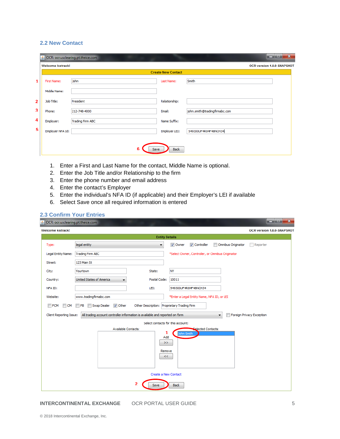#### **2.2 New Contact**

|                | OCR: ocr.usclearing.pt.theice.com |                         |                           |                               | $\mathbf{x}$<br>نغارهم     |
|----------------|-----------------------------------|-------------------------|---------------------------|-------------------------------|----------------------------|
|                | <b>Welcome kstrack!</b>           |                         |                           |                               | OCR version 1.8.0-SNAPSHOT |
|                |                                   |                         | <b>Create New Contact</b> |                               |                            |
| 1              | First Name:                       | John                    | Last Name:                | Smith                         |                            |
|                | Middle Name:                      |                         |                           |                               |                            |
| $\overline{2}$ | Job Title:                        | President               | Relationship:             |                               |                            |
| 3              | Phone:                            | 212-748-4000            | Email:                    | john.smith@tradingfirmabc.com |                            |
| 4              | Employer:                         | <b>Trading Firm ABC</b> | Name Suffix:              |                               |                            |
| 5.             | Employer NFA Id:                  |                         | Employer LEI:             | 549300UF4R84F48NCH34          |                            |
|                |                                   |                         |                           |                               |                            |
|                |                                   | 6<br>Save               | <b>Back</b>               |                               |                            |

- 1. Enter a First and Last Name for the contact, Middle Name is optional.
- 2. Enter the Job Title and/or Relationship to the firm
- 3. Enter the phone number and email address
- 4. Enter the contact's Employer
- 5. Enter the individual's NFA ID (if applicable) and their Employer's LEI if available
- 6. Select Save once all required information is entered

#### **2.3 Confirm Your Entries**

| Soldier OCR: ocr.usclearing.pt.theice.com | والأكرادهم<br>$\mathbf{x}$                                                                                                                   |  |  |  |  |  |
|-------------------------------------------|----------------------------------------------------------------------------------------------------------------------------------------------|--|--|--|--|--|
| <b>Welcome kstrack!</b>                   | OCR version 1.8.0-SNAPSHOT                                                                                                                   |  |  |  |  |  |
|                                           | <b>Entity Details</b>                                                                                                                        |  |  |  |  |  |
| Type:                                     | legal entity<br>V Owner<br><b>V</b> Controller<br>Omnibus Originator<br>$\overline{\phantom{a}}$<br>Reporter<br>۰                            |  |  |  |  |  |
| Legal Entity Name:                        | <b>Trading Firm ABC</b><br>*Select Owner, Controller, or Omnibus Originator                                                                  |  |  |  |  |  |
| Street:                                   | 123 Main St                                                                                                                                  |  |  |  |  |  |
| City:                                     | <b>NY</b><br>State:<br>Yourtown                                                                                                              |  |  |  |  |  |
| Country:                                  | <b>United States of America</b><br>Postal Code:<br>10011<br>▼                                                                                |  |  |  |  |  |
| NFA ID:                                   | LEI:<br>549300UF4R84F48NCH34                                                                                                                 |  |  |  |  |  |
| Website:                                  | www.tradingfirmabc.com<br>*Enter a Legal Entity Name, NFA ID, or LEI                                                                         |  |  |  |  |  |
| $\Box$ FCM<br>$\Box$ CM                   | Other Description: Proprietary Trading Firm<br>$\sqrt{ }$ Other<br>Swap Dealer<br><b>FB</b>                                                  |  |  |  |  |  |
| <b>Client Reporting Issue:</b>            | All trading account controller information is available and reported on form<br><b>Foreign Privacy Exception</b><br>$\overline{\phantom{a}}$ |  |  |  |  |  |
|                                           | Select contacts for this account:                                                                                                            |  |  |  |  |  |
|                                           | Available Contacts:<br><b>Selected Contacts:</b><br>1<br>Iohn Smith<br>Add                                                                   |  |  |  |  |  |
|                                           | >>                                                                                                                                           |  |  |  |  |  |
|                                           | Remove                                                                                                                                       |  |  |  |  |  |
|                                           | <<                                                                                                                                           |  |  |  |  |  |
|                                           |                                                                                                                                              |  |  |  |  |  |
|                                           | <b>Create a New Contact</b>                                                                                                                  |  |  |  |  |  |
|                                           | $\overline{2}$<br><b>Back</b><br>Save                                                                                                        |  |  |  |  |  |

**INTERCONTINENTAL EXCHANGE OCR PORTAL USER GUIDE 5**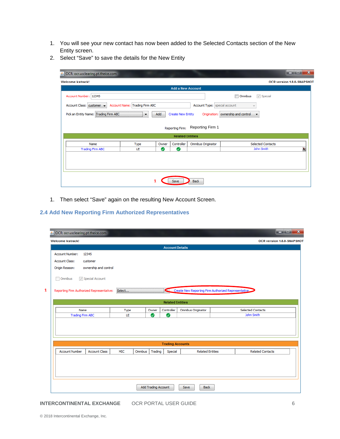- 1. You will see your new contact has now been added to the Selected Contacts section of the New Entity screen.
- 2. Select "Save" to save the details for the New Entity

| $\mathbf{x}$<br>أتلطش والتناسب<br>OCR: ocr.usclearing.pt.theice.com                          |                                            |                          |                    |                                    |   |  |  |
|----------------------------------------------------------------------------------------------|--------------------------------------------|--------------------------|--------------------|------------------------------------|---|--|--|
| Welcome kstrack!<br><b>OCR version 1.8.0-SNAPSHOT</b>                                        |                                            |                          |                    |                                    |   |  |  |
| <b>Add a New Account</b>                                                                     |                                            |                          |                    |                                    |   |  |  |
| Account Number: 12345                                                                        |                                            |                          |                    | Omnibus<br>$\sqrt{ }$ Special      |   |  |  |
| Account Name: Trading Firm ABC<br>Account Type: special account<br>Account Class: customer v |                                            |                          |                    |                                    |   |  |  |
| Pick an Entity Name: Trading Firm ABC                                                        | Add<br>▼                                   | <b>Create New Entity</b> |                    | Origination: ownership and control |   |  |  |
|                                                                                              | Reporting Firm 1<br><b>Reporting Firm:</b> |                          |                    |                                    |   |  |  |
|                                                                                              |                                            | <b>Related Entities</b>  |                    |                                    |   |  |  |
| Name                                                                                         | Type<br>Owner                              | Controller               | Omnibus Originator | <b>Selected Contacts</b>           |   |  |  |
| <b>Trading Firm ABC</b>                                                                      | Ø<br>LE                                    | Ø                        |                    | John Smith                         | ۵ |  |  |
|                                                                                              |                                            |                          |                    |                                    |   |  |  |
| <b>Back</b><br>Save                                                                          |                                            |                          |                    |                                    |   |  |  |

1. Then select "Save" again on the resulting New Account Screen.

# **2.4 Add New Reporting Firm Authorized Representatives**

| 鸟 | OCR: ocr.usclearing.pt.theice.com             |                       |                     |                         |                                                     |                            | $\mathbf{x}$<br>أتكتركها |
|---|-----------------------------------------------|-----------------------|---------------------|-------------------------|-----------------------------------------------------|----------------------------|--------------------------|
|   | <b>Welcome kstrack!</b>                       |                       |                     |                         |                                                     | OCR version 1.8.0-SNAPSHOT |                          |
|   |                                               |                       |                     | <b>Account Details</b>  |                                                     |                            |                          |
|   | <b>Account Number:</b><br>12345               |                       |                     |                         |                                                     |                            |                          |
|   | <b>Account Class:</b><br>customer             |                       |                     |                         |                                                     |                            |                          |
|   | ownership and control<br>Origin Reason:       |                       |                     |                         |                                                     |                            |                          |
|   | Special Account<br>Omnibus                    |                       |                     |                         |                                                     |                            |                          |
|   | Reporting Firm Authorized Representative:     | Select                |                     |                         | Create New Reporting Firm Authorized Representative |                            |                          |
|   |                                               |                       |                     | <b>Related Entities</b> |                                                     |                            |                          |
|   | Name                                          | Type                  | Owner               | Controller              | Omnibus Originator                                  | <b>Selected Contacts</b>   |                          |
|   | <b>Trading Firm ABC</b>                       | LE                    | Ø                   | Ø                       |                                                     | John Smith                 |                          |
|   |                                               |                       |                     |                         |                                                     |                            |                          |
|   |                                               |                       |                     | <b>Trading Accounts</b> |                                                     |                            |                          |
|   | <b>Account Number</b><br><b>Account Class</b> | Omnibus<br><b>MIC</b> | Trading             | Special                 | <b>Related Entities</b>                             | <b>Related Contacts</b>    |                          |
|   |                                               |                       |                     |                         |                                                     |                            |                          |
|   |                                               |                       | Add Trading Account |                         | <b>Back</b><br>Save                                 |                            |                          |

**INTERCONTINENTAL EXCHANGE OCR PORTAL USER GUIDE 6** 6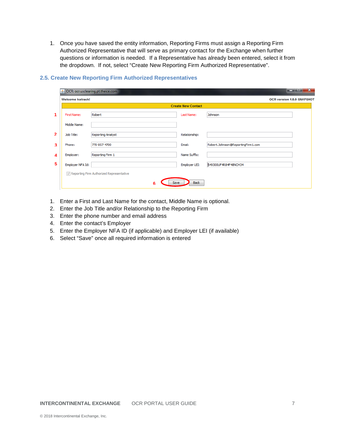1. Once you have saved the entity information, Reporting Firms must assign a Reporting Firm Authorized Representative that will serve as primary contact for the Exchange when further questions or information is needed. If a Representative has already been entered, select it from the dropdown. If not, select "Create New Reporting Firm Authorized Representative".

|                | <u> ≰</u> OCR: ocr.usclearing.pt.theice.com |                                          |                           |                                    | x<br>▭                     |
|----------------|---------------------------------------------|------------------------------------------|---------------------------|------------------------------------|----------------------------|
|                | <b>Welcome kstrack!</b>                     |                                          |                           |                                    | OCR version 1.8.0-SNAPSHOT |
|                |                                             |                                          | <b>Create New Contact</b> |                                    |                            |
| 1              | First Name:                                 | Robert                                   | Last Name:                | Johnson                            |                            |
|                | Middle Name:                                |                                          |                           |                                    |                            |
| $\overline{2}$ | Job Title:                                  | Reporting Analyst                        | Relationship:             |                                    |                            |
| 3              | Phone:                                      | 770-857-4700                             | Email:                    | Robert. Johnson@ReportingFirm1.com |                            |
| 4              | Employer:                                   | Reporting Firm 1                         | Name Suffix:              |                                    |                            |
| 5              | Employer NFA Id:                            |                                          | Employer LEI:             | 549300UF4R84F48NCH34               |                            |
|                |                                             | Reporting Firm Authorized Representative |                           |                                    |                            |
|                |                                             | Save<br>6                                | <b>Back</b>               |                                    |                            |

#### **2.5. Create New Reporting Firm Authorized Representatives**

- 1. Enter a First and Last Name for the contact, Middle Name is optional.
- 2. Enter the Job Title and/or Relationship to the Reporting Firm
- 3. Enter the phone number and email address
- 4. Enter the contact's Employer
- 5. Enter the Employer NFA ID (if applicable) and Employer LEI (if available)
- 6. Select "Save" once all required information is entered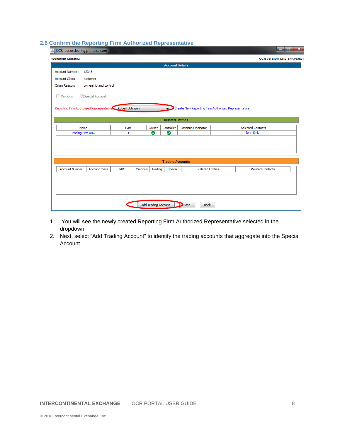#### **2.6 Confirm the Reporting Firm Authorized Representative**

| OCR: ocr.usclearing.pt.theice.com                       |                       |         |                         |                                                     |            |                          | $\mathbf{x}$<br>أتعادها    |
|---------------------------------------------------------|-----------------------|---------|-------------------------|-----------------------------------------------------|------------|--------------------------|----------------------------|
| <b>Welcome kstrack!</b>                                 |                       |         |                         |                                                     |            |                          | OCR version 1.8.0-SNAPSHOT |
|                                                         |                       |         | <b>Account Details</b>  |                                                     |            |                          |                            |
| <b>Account Number:</b><br>12345                         |                       |         |                         |                                                     |            |                          |                            |
| <b>Account Class:</b><br>customer                       |                       |         |                         |                                                     |            |                          |                            |
| ownership and control<br>Origin Reason:                 |                       |         |                         |                                                     |            |                          |                            |
| √ Special Account<br>Omnibus                            |                       |         |                         |                                                     |            |                          |                            |
| Reporting Firm Authorized Representative Robert Johnson |                       |         |                         | Create New Reporting Firm Authorized Representative |            |                          |                            |
|                                                         |                       |         | <b>Related Entities</b> |                                                     |            |                          |                            |
| Name                                                    | Type                  | Owner   | Controller              | Omnibus Originator                                  |            | <b>Selected Contacts</b> |                            |
| <b>Trading Firm ABC</b>                                 | LE                    | ✔       | ✔                       |                                                     | John Smith |                          |                            |
|                                                         |                       |         |                         |                                                     |            |                          |                            |
|                                                         |                       |         | <b>Trading Accounts</b> |                                                     |            |                          |                            |
| <b>Account Class</b><br><b>Account Number</b>           | Omnibus<br><b>MIC</b> | Trading | Special                 | <b>Related Entities</b>                             |            | <b>Related Contacts</b>  |                            |
|                                                         |                       |         |                         |                                                     |            |                          |                            |
| <b>Add Trading Account</b><br>Save<br><b>Back</b>       |                       |         |                         |                                                     |            |                          |                            |

- 1. You will see the newly created Reporting Firm Authorized Representative selected in the dropdown.
- 2. Next, select "Add Trading Account" to identify the trading accounts that aggregate into the Special Account.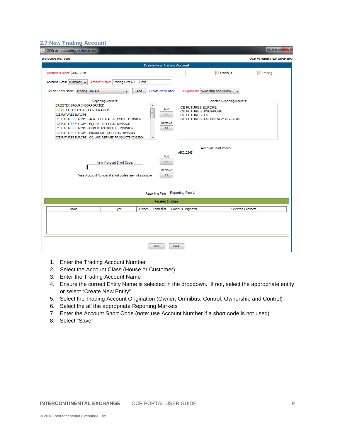#### **2.7 New Trading Account**

| S OCR: ocr.usclearing.pt.theice.com                                                                                                                                                                                                                                                                                                                                                                                                                                                                                               | $\mathbf{x}$<br>and a state of |
|-----------------------------------------------------------------------------------------------------------------------------------------------------------------------------------------------------------------------------------------------------------------------------------------------------------------------------------------------------------------------------------------------------------------------------------------------------------------------------------------------------------------------------------|--------------------------------|
| <b>Welcome kstrack!</b>                                                                                                                                                                                                                                                                                                                                                                                                                                                                                                           | OCR version 1.8.0-SNAPSHOT     |
| <b>Create New Trading Account</b>                                                                                                                                                                                                                                                                                                                                                                                                                                                                                                 |                                |
| Account Number: ABC12345<br>Omnibus                                                                                                                                                                                                                                                                                                                                                                                                                                                                                               | $\sqrt{}$ Trading              |
| Account Name: Trading Firm ABC - Desk 1<br>Account Class: customer -                                                                                                                                                                                                                                                                                                                                                                                                                                                              |                                |
| Add<br>Pick an Entity Name: Trading Firm ABC<br>Origination: ownership and control<br><b>Create New Entity</b><br>۰                                                                                                                                                                                                                                                                                                                                                                                                               |                                |
| Selected Reporting Markets:<br><b>Reporting Markets:</b>                                                                                                                                                                                                                                                                                                                                                                                                                                                                          |                                |
| CREDITEX GROUP INCORPORATED<br>۸<br><b>ICE FUTURES EUROPE</b><br>Add<br>CREDITEX SECURITIES CORPORATION<br><b>ICE FUTURES SINGAPORE</b><br>티<br><b>ICE FUTURES EUROPE</b><br>>><br>ICE FUTURES U.S.<br>ICE FUTURES EUROPE - AGRICULTURAL PRODUCTS DIVISION<br>ICE FUTURES U.S. ENERGY DIVISION<br>Remove<br>ICE FUTURES EUROPE - EQUITY PRODUCTS DIVISION<br>ICE FUTURES EUROPE - EUROPEAN UTILITIES DIVISION<br><<<br>ICE FUTURES EUROPE - FINANCIAL PRODUCTS DIVISION<br>ICE FUTURES EUROPE - OIL AND REFINED PRODUCTS DIVISION |                                |
| <b>Account Short Codes:</b>                                                                                                                                                                                                                                                                                                                                                                                                                                                                                                       |                                |
| ABC12345<br>Add<br>>><br>New Account Short Code:<br>Remove<br>*use Account Number if short codes are not available<br><<                                                                                                                                                                                                                                                                                                                                                                                                          |                                |
| Reporting Firm 1<br><b>Reporting Firm</b>                                                                                                                                                                                                                                                                                                                                                                                                                                                                                         |                                |
|                                                                                                                                                                                                                                                                                                                                                                                                                                                                                                                                   |                                |
| <b>Related Entities</b>                                                                                                                                                                                                                                                                                                                                                                                                                                                                                                           |                                |
| <b>Selected Contacts</b><br>Controller<br>Omnibus Originator<br>Name<br>Type<br>Owner                                                                                                                                                                                                                                                                                                                                                                                                                                             |                                |
| <b>Back</b><br>Save                                                                                                                                                                                                                                                                                                                                                                                                                                                                                                               |                                |

- 1. Enter the Trading Account Number
- 2. Select the Account Class (House or Customer)
- 3. Enter the Trading Account Name
- 4. Ensure the correct Entity Name is selected in the dropdown. If not, select the appropriate entity or select "Create New Entity".
- 5. Select the Trading Account Origination (Owner, Omnibus, Control, Ownership and Control)
- 6. Select the all the appropriate Reporting Markets
- 7. Enter the Account Short Code (note: use Account Number if a short code is not used)
- 8. Select "Save"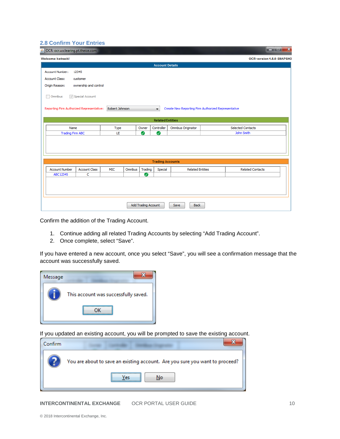#### **2.8 Confirm Your Entries**

| OCR: ocr.usclearing.pt.theice.com<br>画    |                                                   |                |         |                         |                                                     |  |                          | أتقارض<br>$\overline{\mathbf{x}}$ |
|-------------------------------------------|---------------------------------------------------|----------------|---------|-------------------------|-----------------------------------------------------|--|--------------------------|-----------------------------------|
| Welcome kstrack!                          |                                                   |                |         |                         |                                                     |  |                          | OCR version 1.8.0-SNAPSHO         |
|                                           |                                                   |                |         | <b>Account Details</b>  |                                                     |  |                          |                                   |
| <b>Account Number:</b>                    | 12345                                             |                |         |                         |                                                     |  |                          |                                   |
| <b>Account Class:</b>                     | customer                                          |                |         |                         |                                                     |  |                          |                                   |
| Origin Reason:                            | ownership and control                             |                |         |                         |                                                     |  |                          |                                   |
|                                           |                                                   |                |         |                         |                                                     |  |                          |                                   |
| Omnibus                                   | √ Special Account                                 |                |         |                         |                                                     |  |                          |                                   |
|                                           |                                                   |                |         |                         |                                                     |  |                          |                                   |
| Reporting Firm Authorized Representative: |                                                   | Robert Johnson |         | ×.                      | Create New Reporting Firm Authorized Representative |  |                          |                                   |
|                                           |                                                   |                |         |                         |                                                     |  |                          |                                   |
|                                           |                                                   |                |         | <b>Related Entities</b> |                                                     |  |                          |                                   |
| Name                                      |                                                   | Type           | Owner   | Controller              | Omnibus Originator                                  |  | <b>Selected Contacts</b> |                                   |
| <b>Trading Firm ABC</b>                   |                                                   | LE             | Ø       | ✔                       |                                                     |  | John Smith               |                                   |
|                                           |                                                   |                |         |                         |                                                     |  |                          |                                   |
|                                           |                                                   |                |         |                         |                                                     |  |                          |                                   |
|                                           |                                                   |                |         |                         |                                                     |  |                          |                                   |
|                                           |                                                   |                |         | <b>Trading Accounts</b> |                                                     |  |                          |                                   |
|                                           |                                                   |                |         |                         |                                                     |  |                          |                                   |
| <b>Account Number</b>                     | <b>Account Class</b>                              | <b>MIC</b>     | Omnibus | Trading<br>Special      | <b>Related Entities</b>                             |  | <b>Related Contacts</b>  |                                   |
| ABC12345                                  | c                                                 |                |         | Ø                       |                                                     |  |                          |                                   |
|                                           |                                                   |                |         |                         |                                                     |  |                          |                                   |
|                                           |                                                   |                |         |                         |                                                     |  |                          |                                   |
|                                           |                                                   |                |         |                         |                                                     |  |                          |                                   |
|                                           | <b>Add Trading Account</b><br><b>Back</b><br>Save |                |         |                         |                                                     |  |                          |                                   |

Confirm the addition of the Trading Account.

- 1. Continue adding all related Trading Accounts by selecting "Add Trading Account".
- 2. Once complete, select "Save".

If you have entered a new account, once you select "Save", you will see a confirmation message that the account was successfully saved.



If you updated an existing account, you will be prompted to save the existing account.

| Confirm |                                                                              |
|---------|------------------------------------------------------------------------------|
|         | You are about to save an existing account. Are you sure you want to proceed? |
|         | No                                                                           |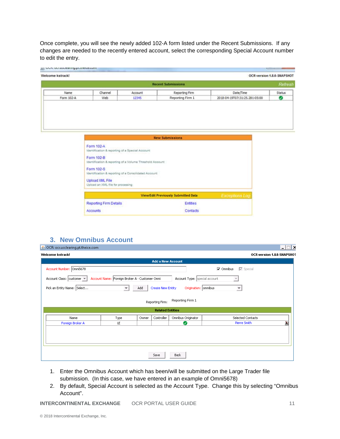Once complete, you will see the newly added 102-A form listed under the Recent Submissions. If any changes are needed to the recently entered account, select the corresponding Special Account number to edit the entry.

|            |                                                                        |       | <b>Recent Submissions</b>           |                               | Refresh |  |  |
|------------|------------------------------------------------------------------------|-------|-------------------------------------|-------------------------------|---------|--|--|
| Name       | Date/Time<br>Channel<br>Reporting Firm<br>Account                      |       |                                     |                               |         |  |  |
| Form 102-A | Web                                                                    | 12345 | Reporting Firm 1                    | 2018-04-19T07:31:25.281-05:00 | ✅       |  |  |
|            |                                                                        |       | <b>New Submissions</b>              |                               |         |  |  |
|            | Form 102-A<br>Identification & reporting of a Special Account          |       |                                     |                               |         |  |  |
|            | Form 102-B<br>Identification & reporting of a Volume Threshold Account |       |                                     |                               |         |  |  |
|            |                                                                        |       |                                     |                               |         |  |  |
|            | Form 102-S<br>Identification & reporting of a Consolidated Account     |       |                                     |                               |         |  |  |
|            | <b>Upload XML File</b><br>Upload an XML file for processing            |       |                                     |                               |         |  |  |
|            |                                                                        |       | View/Edit Previously Submitted Data | <b>Exceptions Log</b>         |         |  |  |

Contacts

# **3. New Omnibus Account**

Accounts

| OCR: ocr.usclearing.pt.theice.com |                                                |       |                          |                               |                                                            | $\Box$ $\times$<br>- 1 |
|-----------------------------------|------------------------------------------------|-------|--------------------------|-------------------------------|------------------------------------------------------------|------------------------|
| Welcome kstrack!                  |                                                |       |                          |                               | OCR version 1.8.0-SNAPSHOT                                 |                        |
|                                   |                                                |       | <b>Add a New Account</b> |                               |                                                            |                        |
| Account Number: Omni5678          |                                                |       |                          |                               | $\triangledown$ Special<br>$\overline{\mathbf{v}}$ Omnibus |                        |
| Account Class: customer =         | Account Name: Foreign Broker A - Customer Omni |       |                          | Account Type: special account | $\overline{\phantom{m}}$                                   |                        |
| Pick an Entity Name: Select       | $\overline{\phantom{a}}$                       | Add   | <b>Create New Entity</b> | Origination: omnibus          | ▼                                                          |                        |
|                                   |                                                |       | Reporting Firm:          | Reporting Firm 1              |                                                            |                        |
|                                   |                                                |       | <b>Related Entities</b>  |                               |                                                            |                        |
| Name                              | Type                                           | Owner | Controller               | Omnibus Originator            | Selected Contacts                                          |                        |
| Foreign Broker A                  | LE                                             |       |                          | Ø                             | Pierre Smith                                               | N                      |
|                                   |                                                |       |                          |                               |                                                            |                        |
|                                   |                                                |       | Save                     | <b>Back</b>                   |                                                            |                        |

- 1. Enter the Omnibus Account which has been/will be submitted on the Large Trader file submission. (In this case, we have entered in an example of Omni5678)
- 2. By default, Special Account is selected as the Account Type. Change this by selecting "Omnibus Account".

**INTERCONTINENTAL EXCHANGE OCR PORTAL USER GUIDE 11 CONTRACT AND ALL STATES AND RESPONSE 11**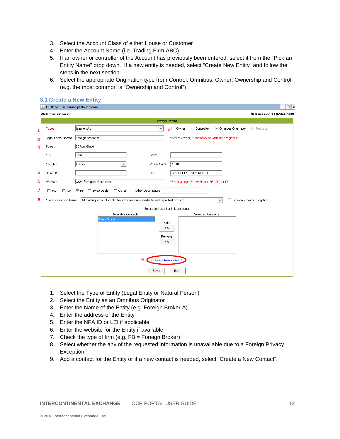- 3. Select the Account Class of either House or Customer
- 4. Enter the Account Name (i.e. Trading Firm ABC)
- 5. If an owner or controller of the Account has previously been entered, select it from the "Pick an Entity Name" drop down. If a new entity is needed, select "Create New Entity" and follow the steps in the next section.
- 6. Select the appropriate Origination type from Control, Omnibus, Owner, Ownership and Control. (e.g. the most common is "Ownership and Control")

#### **3.1 Create a New Entity**

|   | 6 OCR: ocr.usclearing.pt.theice.com | $\overline{a}$                                                                                                                             |
|---|-------------------------------------|--------------------------------------------------------------------------------------------------------------------------------------------|
|   | Welcome kstrack!                    | OCR version 1.8.0-SNAPSHOT                                                                                                                 |
|   |                                     | <b>Entity Details</b>                                                                                                                      |
| 1 | Type:                               | Controller<br>√ Omnibus Originator<br>legal entity<br>$2^{\Box \text{Owner}}$<br>$\Box$ Reporter<br>$\overline{\mathbf{v}}$                |
| 3 | Legal Entity Name:                  | Foreign Broker A<br>*Select Owner, Controller, or Omnibus Originator                                                                       |
| 4 | Street:                             | 20 Rue Glace                                                                                                                               |
|   | City:                               | Paris<br>State:                                                                                                                            |
|   | Country:                            | Postal Code:<br>75001<br>France                                                                                                            |
| 5 | NFA ID:                             | 549300UF4R84F48NCH34<br>LEI:                                                                                                               |
| 6 | Website:                            | www.foreignbrokera.com<br>*Enter a Legal Entity Name, NFA ID, or LEI                                                                       |
| 7 |                                     | □ FCM □ CM  V FB   Swap Dealer   Other<br>Other Description:                                                                               |
| 8 | Client Reporting Issue:             | All trading account controller information is available and reported on form<br>Foreign Privacy Exception<br>┍<br>$\overline{\phantom{a}}$ |
|   |                                     | Select contacts for this account:                                                                                                          |
|   |                                     | Available Contacts:<br>Selected Contacts:                                                                                                  |
|   |                                     | Pierre Smith<br>Add                                                                                                                        |
|   |                                     | >>                                                                                                                                         |
|   |                                     | Remove                                                                                                                                     |
|   |                                     | <<                                                                                                                                         |
|   |                                     |                                                                                                                                            |
|   |                                     | 9<br>Create a New Contact                                                                                                                  |
|   |                                     |                                                                                                                                            |
|   |                                     | <b>Back</b><br>Save                                                                                                                        |

- 1. Select the Type of Entity (Legal Entity or Natural Person)
- 2. Select the Entity as an Omnibus Originator
- 3. Enter the Name of the Entity (e.g. Foreign Broker A)
- 4. Enter the address of the Entity
- 5. Enter the NFA ID or LEI if applicable
- 6. Enter the website for the Entity if available
- 7. Check the type of firm (e.g.  $FB =$  Foreign Broker)
- 8. Select whether the any of the requested information is unavailable due to a Foreign Privacy Exception.
- 9. Add a contact for the Entity or if a new contact is needed, select "Create a New Contact".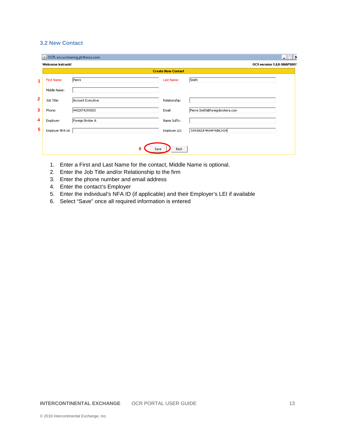#### **3.2 New Contact**

|   |                  | OCR: ocr.usclearing.pt.theice.com |                           |                                 | – ∣⊡∣ × |
|---|------------------|-----------------------------------|---------------------------|---------------------------------|---------|
|   | Welcome kstrack! |                                   |                           | OCR version 1.8.0-SNAPSHOT      |         |
|   |                  |                                   | <b>Create New Contact</b> |                                 |         |
| 1 | First Name:      | Pierre                            | Last Name:                | Smith                           |         |
|   | Middle Name:     |                                   |                           |                                 |         |
| 2 | Job Title:       | Account Executive                 | Relationship:             |                                 |         |
| 3 | Phone:           | 4402074293003                     | Email:                    | Pierre.Smith@foreignbrokera.com |         |
| 4 | Employer:        | Foreign Broker A                  | Name Suffix:              |                                 |         |
| 5 | Employer NFA Id: |                                   | Employer LEI:             | 549300UF4R84F48NCH34            |         |
|   |                  |                                   |                           |                                 |         |
|   |                  | 6<br>Save                         | <b>Back</b>               |                                 |         |

- 1. Enter a First and Last Name for the contact, Middle Name is optional.
- 2. Enter the Job Title and/or Relationship to the firm
- 3. Enter the phone number and email address
- 4. Enter the contact's Employer
- 5. Enter the individual's NFA ID (if applicable) and their Employer's LEI if available
- 6. Select "Save" once all required information is entered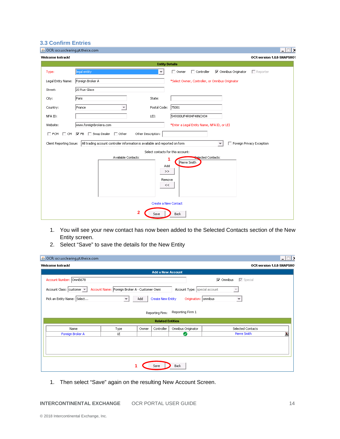#### **3.3 Confirm Entries**

| OCR: ocr.usclearing.pt.theice.com                                      | $\square$ $\times$                                                                                                                    |  |  |  |  |  |  |  |
|------------------------------------------------------------------------|---------------------------------------------------------------------------------------------------------------------------------------|--|--|--|--|--|--|--|
| Welcome kstrack!                                                       | OCR version 1.8.0-SNAPSHOT                                                                                                            |  |  |  |  |  |  |  |
|                                                                        | <b>Entity Details</b>                                                                                                                 |  |  |  |  |  |  |  |
| Type:                                                                  | <b>V</b> Omnibus Originator<br>legal entity<br>$\Box$ Owner<br>$\Box$ Controller<br>$\Box$ Reporter<br>▼                              |  |  |  |  |  |  |  |
| Legal Entity Name:                                                     | Foreign Broker A<br>*Select Owner, Controller, or Omnibus Originator                                                                  |  |  |  |  |  |  |  |
| Street:                                                                | 20 Rue Glace                                                                                                                          |  |  |  |  |  |  |  |
| City:                                                                  | Paris<br>State:                                                                                                                       |  |  |  |  |  |  |  |
| Country:                                                               | Postal Code:<br>75001<br>France<br>$\overline{\phantom{a}}$                                                                           |  |  |  |  |  |  |  |
| NFA ID:                                                                | 549300UF4R84F48NCH34<br>LEI:                                                                                                          |  |  |  |  |  |  |  |
| Website:                                                               | www.foreignbrokera.com<br>*Enter a Legal Entity Name, NFA ID, or LEI                                                                  |  |  |  |  |  |  |  |
|                                                                        | □ FCM □ CM   V FB □ Swap Dealer □ Other<br>Other Description:                                                                         |  |  |  |  |  |  |  |
| Client Reporting Issue:                                                | All trading account controller information is available and reported on form<br>Foreign Privacy Exception<br>$\overline{\phantom{a}}$ |  |  |  |  |  |  |  |
|                                                                        | Select contacts for this account:                                                                                                     |  |  |  |  |  |  |  |
| Available Contacts:<br>Selected Contacts:<br>Pierre Smith<br>Add<br>>> |                                                                                                                                       |  |  |  |  |  |  |  |
| Remove<br><<                                                           |                                                                                                                                       |  |  |  |  |  |  |  |
|                                                                        | Create a New Contact                                                                                                                  |  |  |  |  |  |  |  |
|                                                                        | 2<br>Back<br>Save                                                                                                                     |  |  |  |  |  |  |  |

- 1. You will see your new contact has now been added to the Selected Contacts section of the New Entity screen.
- 2. Select "Save" to save the details for the New Entity

| OCR: ocr.usclearing.pt.theice.com |                                                |                          |                                 |                                        | $\Box$ |
|-----------------------------------|------------------------------------------------|--------------------------|---------------------------------|----------------------------------------|--------|
| Welcome kstrack!                  |                                                |                          |                                 | OCR version 1.8.0-SNAPSHOT             |        |
|                                   |                                                | <b>Add a New Account</b> |                                 |                                        |        |
| Account Number: Omni5678          |                                                |                          |                                 | $\sqrt{ }$ Special<br>$\nabla$ Omnibus |        |
| Account Class: customer =         | Account Name: Foreign Broker A - Customer Omni |                          | Account Type:   special account | $\overline{\mathcal{N}}$               |        |
| Pick an Entity Name: Select       | Add<br>$\overline{\phantom{a}}$                | Create New Entity        | Origination: omnibus            | $\overline{\phantom{a}}$               |        |
|                                   |                                                | Reporting Firm:          | Reporting Firm 1                |                                        |        |
|                                   |                                                | <b>Related Entities</b>  |                                 |                                        |        |
| Name                              | <b>Type</b><br>Owner                           | Controller               | Omnibus Originator              | Selected Contacts                      |        |
| Foreign Broker A                  | LE                                             |                          | ◙                               | Pierre Smith                           | ۵      |
|                                   |                                                |                          |                                 |                                        |        |
|                                   |                                                | Save                     | <b>Back</b>                     |                                        |        |

1. Then select "Save" again on the resulting New Account Screen.

**INTERCONTINENTAL EXCHANGE OCR PORTAL USER GUIDE 14**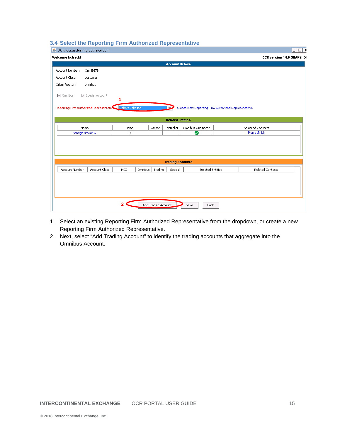#### **3.4 Select the Reporting Firm Authorized Representative**

| OCR: ocr.usclearing.pt.theice.com                        |                |                     |                         |                                                     |  |                            | $ \Box$ $\times$ |
|----------------------------------------------------------|----------------|---------------------|-------------------------|-----------------------------------------------------|--|----------------------------|------------------|
| Welcome kstrack!                                         |                |                     |                         |                                                     |  | OCR version 1.8.0-SNAPSHOT |                  |
|                                                          |                |                     | <b>Account Details</b>  |                                                     |  |                            |                  |
| Account Number:<br>Omni5678                              |                |                     |                         |                                                     |  |                            |                  |
| Account Class:<br>customer                               |                |                     |                         |                                                     |  |                            |                  |
| omnibus<br>Origin Reason:                                |                |                     |                         |                                                     |  |                            |                  |
| □ Special Account<br>$\nabla$ Omnibus                    |                |                     |                         |                                                     |  |                            |                  |
| Reporting Firm Authorized Representatives Robert Johnson |                |                     | $\mathbf{L}$            | Create New Reporting Firm Authorized Representative |  |                            |                  |
|                                                          |                |                     | <b>Related Entities</b> |                                                     |  |                            |                  |
| Name                                                     | Type           | Owner               | Controller              | Omnibus Originator                                  |  | Selected Contacts          |                  |
| Foreign Broker A                                         | LE             |                     |                         | о                                                   |  | Pierre Smith               |                  |
|                                                          |                |                     |                         |                                                     |  |                            |                  |
|                                                          |                |                     | <b>Trading Accounts</b> |                                                     |  |                            |                  |
| Account Number<br>Account Class                          | Omnibus<br>MIC | Trading             | Special                 | <b>Related Entities</b>                             |  | <b>Related Contacts</b>    |                  |
|                                                          |                |                     |                         |                                                     |  |                            |                  |
|                                                          |                | Add Trading Account |                         | Save<br><b>Back</b>                                 |  |                            |                  |

- 1. Select an existing Reporting Firm Authorized Representative from the dropdown, or create a new Reporting Firm Authorized Representative.
- 2. Next, select "Add Trading Account" to identify the trading accounts that aggregate into the Omnibus Account.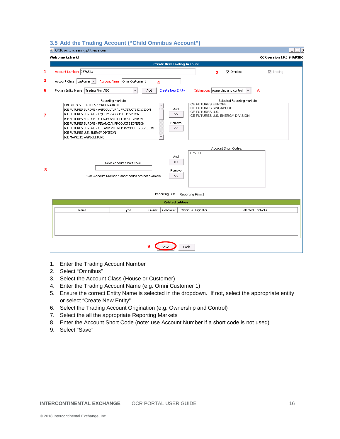#### **3.5 Add the Trading Account ("Child Omnibus Account")**

|   | – I⊡I ×<br>OCR: ocr.usclearing.pt.theice.com                                                                                                                                                                                                                                                                                                                                                                                                                                                                                                                                          |
|---|---------------------------------------------------------------------------------------------------------------------------------------------------------------------------------------------------------------------------------------------------------------------------------------------------------------------------------------------------------------------------------------------------------------------------------------------------------------------------------------------------------------------------------------------------------------------------------------|
|   | OCR version 1.8.0-SNAPSHOT<br>Welcome kstrack!                                                                                                                                                                                                                                                                                                                                                                                                                                                                                                                                        |
|   | <b>Create New Trading Account</b>                                                                                                                                                                                                                                                                                                                                                                                                                                                                                                                                                     |
| 1 | $\nabla$ Trading<br>Account Number: 9876543<br>$\nabla$ Omnibus<br>2                                                                                                                                                                                                                                                                                                                                                                                                                                                                                                                  |
| 3 | Account Name: Omni Customer 1<br>Account Class: customer =<br>$\overline{\mathbf{A}}$                                                                                                                                                                                                                                                                                                                                                                                                                                                                                                 |
| 5 | Pick an Entity Name: Trading Firm ABC<br>Origination: ownership and control<br>Add<br><b>Create New Entity</b><br>$\overline{\mathbf{v}}$<br>6                                                                                                                                                                                                                                                                                                                                                                                                                                        |
| 7 | Reporting Markets:<br>Selected Reporting Markets:<br><b>ICE FUTURES EUROPE</b><br>CREDITEX SECURITIES CORPORATION<br><b>ICE FUTURES SINGAPORE</b><br>Add<br>ICE FUTURES EUROPE - AGRICULTURAL PRODUCTS DIVISION<br><b>ICE FUTURES U.S.</b><br>ICE FUTURES EUROPE - EQUITY PRODUCTS DIVISION<br>><br>ICE FUTURES U.S. ENERGY DIVISION<br>ICE FUTURES EUROPE - EUROPEAN UTILITIES DIVISION<br>Remove<br>ICE FUTURES EUROPE - FINANCIAL PRODUCTS DIVISION<br>ICE FUTURES EUROPE - OIL AND REFINED PRODUCTS DIVISION<br><<<br>ICE FUTURES U.S. ENERGY DIVISION<br>ICE MARKETS AGRICULTURE |
| 8 | Account Short Codes:<br>9876543<br>Add<br>><br>New Account Short Code:<br>Remove<br><<<br>*use Account Number if short codes are not available<br>Reporting Firm<br>Reporting Firm 1                                                                                                                                                                                                                                                                                                                                                                                                  |
|   | <b>Related Entities</b>                                                                                                                                                                                                                                                                                                                                                                                                                                                                                                                                                               |
|   | Omnibus Originator<br>Selected Contacts<br>Controller<br>Name<br>Type<br>Owner                                                                                                                                                                                                                                                                                                                                                                                                                                                                                                        |
|   |                                                                                                                                                                                                                                                                                                                                                                                                                                                                                                                                                                                       |
|   | <b>Back</b><br>Save                                                                                                                                                                                                                                                                                                                                                                                                                                                                                                                                                                   |

- 1. Enter the Trading Account Number
- 2. Select "Omnibus"
- 3. Select the Account Class (House or Customer)
- 4. Enter the Trading Account Name (e.g. Omni Customer 1)
- 5. Ensure the correct Entity Name is selected in the dropdown. If not, select the appropriate entity or select "Create New Entity".
- 6. Select the Trading Account Origination (e.g. Ownership and Control)
- 7. Select the all the appropriate Reporting Markets
- 8. Enter the Account Short Code (note: use Account Number if a short code is not used)
- 9. Select "Save"